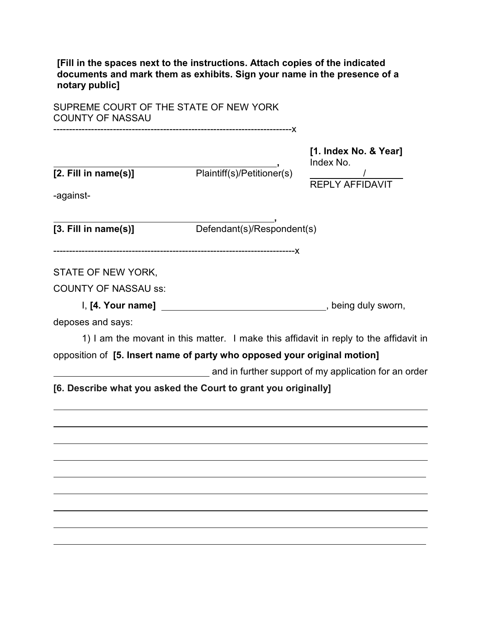**[Fill in the spaces next to the instructions. Attach copies of the indicated documents and mark them as exhibits. Sign your name in the presence of a notary public]**

SUPREME COURT OF THE STATE OF NEW YORK COUNTY OF NASSAU

| [2. Fill in name(s)]<br>-against- | Plaintiff(s)/Petitioner(s)                                                            | [1. Index No. & Year]<br>Index No.<br>$\frac{1}{REPLY AFFIDAVIT}$ |
|-----------------------------------|---------------------------------------------------------------------------------------|-------------------------------------------------------------------|
| $[3.$ Fill in name $(s)$ ]        | Defendant(s)/Respondent(s)                                                            |                                                                   |
| STATE OF NEW YORK,                |                                                                                       |                                                                   |
| <b>COUNTY OF NASSAU ss:</b>       |                                                                                       |                                                                   |
|                                   |                                                                                       |                                                                   |
| deposes and says:                 |                                                                                       |                                                                   |
|                                   | 1) I am the movant in this matter. I make this affidavit in reply to the affidavit in |                                                                   |
|                                   | opposition of [5. Insert name of party who opposed your original motion]              |                                                                   |
|                                   |                                                                                       | and in further support of my application for an order             |
|                                   | [6. Describe what you asked the Court to grant you originally]                        |                                                                   |
|                                   |                                                                                       |                                                                   |
|                                   |                                                                                       |                                                                   |
|                                   |                                                                                       |                                                                   |
|                                   |                                                                                       |                                                                   |
|                                   |                                                                                       |                                                                   |
|                                   |                                                                                       |                                                                   |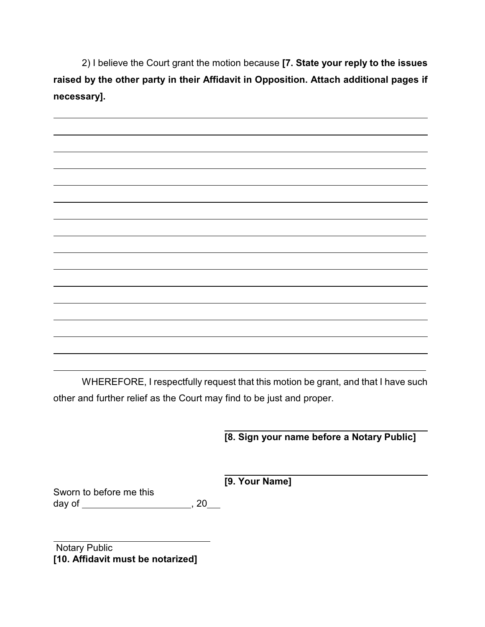2) I believe the Court grant the motion because **[7. State your reply to the issues raised by the other party in their Affidavit in Opposition. Attach additional pages if necessary].**



WHEREFORE, I respectfully request that this motion be grant, and that I have such other and further relief as the Court may find to be just and proper.

 **[8. Sign your name before a Notary Public]**

**[9. Your Name]**

Sworn to before me this day of , 20

 Notary Public **[10. Affidavit must be notarized]**